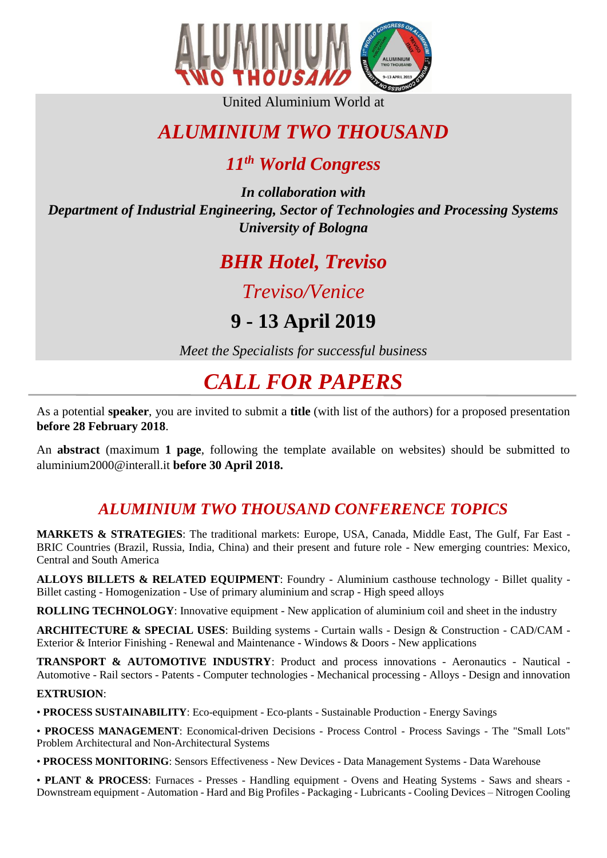

United Aluminium World at

# *ALUMINIUM TWO THOUSAND*

## *11th World Congress*

*In collaboration with Department of Industrial Engineering, Sector of Technologies and Processing Systems University of Bologna*

# *BHR Hotel, Treviso*

## *Treviso/Venice*

# **9 - 13 April 2019**

*Meet the Specialists for successful business*

# *CALL FOR PAPERS*

As a potential **speaker**, you are invited to submit a **title** (with list of the authors) for a proposed presentation **before 28 February 2018**.

An **abstract** (maximum **1 page**, following the template available on websites) should be submitted to aluminium2000@interall.it **before 30 April 2018.**

### *ALUMINIUM TWO THOUSAND CONFERENCE TOPICS*

**MARKETS & STRATEGIES**: The traditional markets: Europe, USA, Canada, Middle East, The Gulf, Far East - BRIC Countries (Brazil, Russia, India, China) and their present and future role - New emerging countries: Mexico, Central and South America

**ALLOYS BILLETS & RELATED EQUIPMENT**: Foundry - Aluminium casthouse technology - Billet quality - Billet casting - Homogenization - Use of primary aluminium and scrap - High speed alloys

**ROLLING TECHNOLOGY**: Innovative equipment - New application of aluminium coil and sheet in the industry

**ARCHITECTURE & SPECIAL USES**: Building systems - Curtain walls - Design & Construction - CAD/CAM - Exterior & Interior Finishing - Renewal and Maintenance - Windows & Doors - New applications

**TRANSPORT & AUTOMOTIVE INDUSTRY**: Product and process innovations - Aeronautics - Nautical - Automotive - Rail sectors - Patents - Computer technologies - Mechanical processing - Alloys - Design and innovation

### **EXTRUSION**:

• **PROCESS SUSTAINABILITY**: Eco-equipment - Eco-plants - Sustainable Production - Energy Savings

• **PROCESS MANAGEMENT**: Economical-driven Decisions - Process Control - Process Savings - The "Small Lots" Problem Architectural and Non-Architectural Systems

• **PROCESS MONITORING**: Sensors Effectiveness - New Devices - Data Management Systems - Data Warehouse

• **PLANT & PROCESS**: Furnaces - Presses - Handling equipment - Ovens and Heating Systems - Saws and shears - Downstream equipment - Automation - Hard and Big Profiles - Packaging - Lubricants - Cooling Devices – Nitrogen Cooling